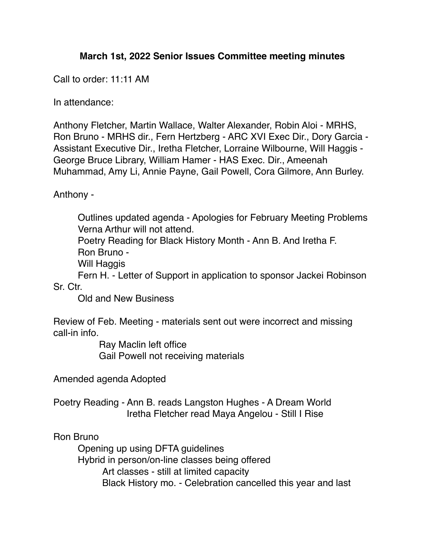## **March 1st, 2022 Senior Issues Committee meeting minutes**

Call to order: 11:11 AM

In attendance:

Anthony Fletcher, Martin Wallace, Walter Alexander, Robin Aloi - MRHS, Ron Bruno - MRHS dir., Fern Hertzberg - ARC XVI Exec Dir., Dory Garcia - Assistant Executive Dir., Iretha Fletcher, Lorraine Wilbourne, Will Haggis - George Bruce Library, William Hamer - HAS Exec. Dir., Ameenah Muhammad, Amy Li, Annie Payne, Gail Powell, Cora Gilmore, Ann Burley.

Anthony -

Outlines updated agenda - Apologies for February Meeting Problems Verna Arthur will not attend.

Poetry Reading for Black History Month - Ann B. And Iretha F. Ron Bruno -

Will Haggis

Fern H. - Letter of Support in application to sponsor Jackei Robinson Sr. Ctr.

Old and New Business

Review of Feb. Meeting - materials sent out were incorrect and missing call-in info.

> Ray Maclin left office Gail Powell not receiving materials

Amended agenda Adopted

Poetry Reading - Ann B. reads Langston Hughes - A Dream World Iretha Fletcher read Maya Angelou - Still I Rise

Ron Bruno

Opening up using DFTA guidelines

Hybrid in person/on-line classes being offered

Art classes - still at limited capacity

Black History mo. - Celebration cancelled this year and last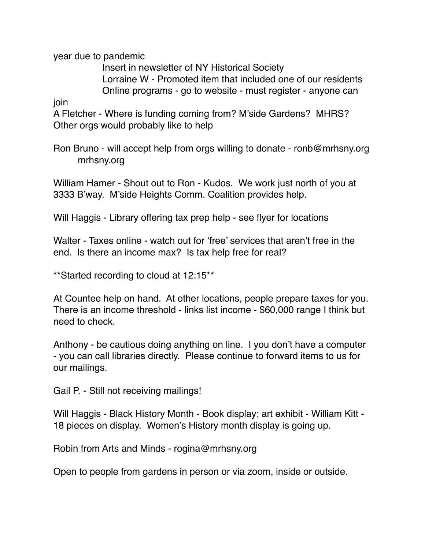year due to pandemic

Insert in newsletter of NY Historical Society Lorraine W - Promoted item that included one of our residents Online programs - go to website - must register - anyone can

join

A Fletcher - Where is funding coming from? M'side Gardens? MHRS? Other orgs would probably like to help

Ron Bruno - will accept help from orgs willing to donate - ronb@mrhsny.org mrhsny.org

William Hamer - Shout out to Ron - Kudos. We work just north of you at 3333 B'way. M'side Heights Comm. Coalition provides help.

Will Haggis - Library offering tax prep help - see flyer for locations

Walter - Taxes online - watch out for 'free' services that aren't free in the end. Is there an income max? Is tax help free for real?

\*\*Started recording to cloud at 12:15\*\*

At Countee help on hand. At other locations, people prepare taxes for you. There is an income threshold - links list income - \$60,000 range I think but need to check.

Anthony - be cautious doing anything on line. I you don't have a computer - you can call libraries directly. Please continue to forward items to us for our mailings.

Gail P. - Still not receiving mailings!

Will Haggis - Black History Month - Book display; art exhibit - William Kitt - 18 pieces on display. Women's History month display is going up.

Robin from Arts and Minds - rogina@mrhsny.org

Open to people from gardens in person or via zoom, inside or outside.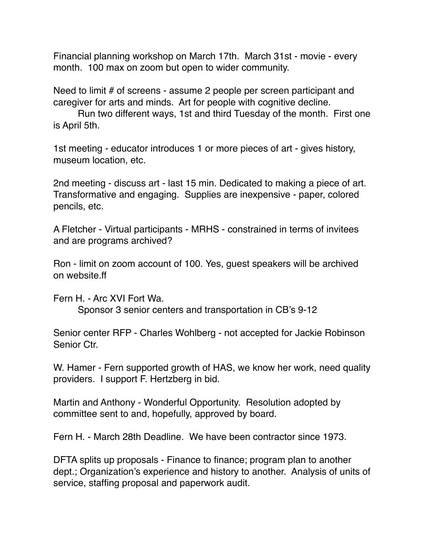Financial planning workshop on March 17th. March 31st - movie - every month. 100 max on zoom but open to wider community.

Need to limit # of screens - assume 2 people per screen participant and caregiver for arts and minds. Art for people with cognitive decline.

Run two different ways, 1st and third Tuesday of the month. First one is April 5th.

1st meeting - educator introduces 1 or more pieces of art - gives history, museum location, etc.

2nd meeting - discuss art - last 15 min. Dedicated to making a piece of art. Transformative and engaging. Supplies are inexpensive - paper, colored pencils, etc.

A Fletcher - Virtual participants - MRHS - constrained in terms of invitees and are programs archived?

Ron - limit on zoom account of 100. Yes, guest speakers will be archived on website.ff

Fern H. - Arc XVI Fort Wa. Sponsor 3 senior centers and transportation in CB's 9-12

Senior center RFP - Charles Wohlberg - not accepted for Jackie Robinson Senior Ctr.

W. Hamer - Fern supported growth of HAS, we know her work, need quality providers. I support F. Hertzberg in bid.

Martin and Anthony - Wonderful Opportunity. Resolution adopted by committee sent to and, hopefully, approved by board.

Fern H. - March 28th Deadline. We have been contractor since 1973.

DFTA splits up proposals - Finance to finance; program plan to another dept.; Organization's experience and history to another. Analysis of units of service, staffing proposal and paperwork audit.